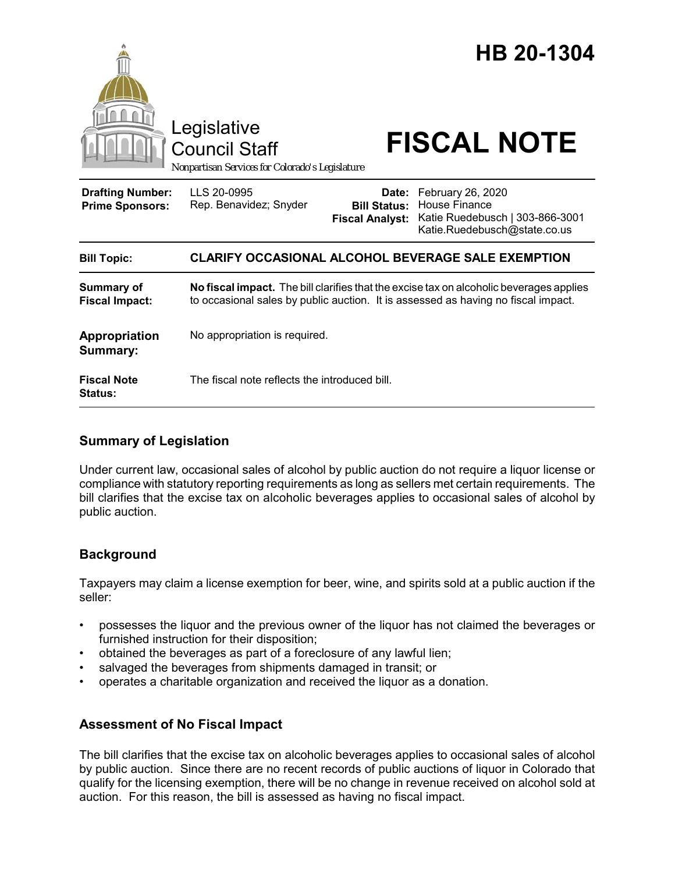

## **Summary of Legislation**

Under current law, occasional sales of alcohol by public auction do not require a liquor license or compliance with statutory reporting requirements as long as sellers met certain requirements. The bill clarifies that the excise tax on alcoholic beverages applies to occasional sales of alcohol by public auction.

# **Background**

Taxpayers may claim a license exemption for beer, wine, and spirits sold at a public auction if the seller:

- possesses the liquor and the previous owner of the liquor has not claimed the beverages or furnished instruction for their disposition;
- obtained the beverages as part of a foreclosure of any lawful lien;
- salvaged the beverages from shipments damaged in transit; or
- operates a charitable organization and received the liquor as a donation.

### **Assessment of No Fiscal Impact**

The bill clarifies that the excise tax on alcoholic beverages applies to occasional sales of alcohol by public auction. Since there are no recent records of public auctions of liquor in Colorado that qualify for the licensing exemption, there will be no change in revenue received on alcohol sold at auction. For this reason, the bill is assessed as having no fiscal impact.